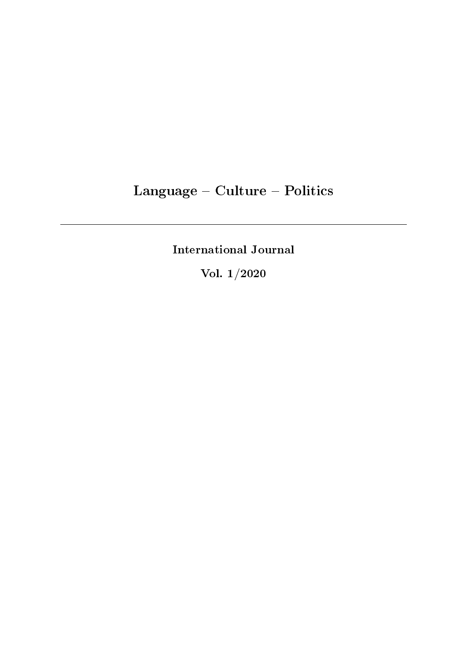# Language - Culture - Politics

International Journal

Vol. 1/2020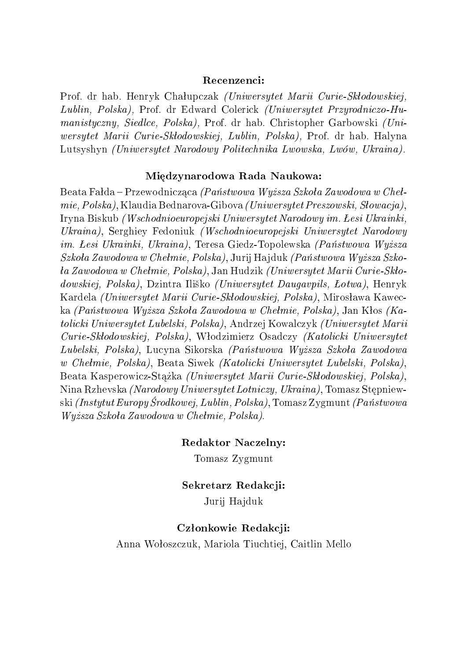#### Recenzenci:

Prof. dr hab. Henryk Chałupczak *(Uniwersytet Marii Curie-Skłodowskiej*, Lublin, Polska), Prof. dr Edward Colerick (Uniwersytet Przyrodniczo-Humanistyczny, Siedlce, Polska), Prof. dr hab. Christopher Garbowski (Uniwersytet Marii Curie-Skłodowskiej, Lublin, Polska), Prof. dr hab. Halyna Lutsyshyn (Uniwersytet Narodowy Politechnika Lwowska, Lwów, Ukraina).

#### Międzynarodowa Rada Naukowa:

Beata Fałda – Przewodnicząca *(Państwowa Wyższa Szkoła Zawodowa w Cheł* $mie, Polska), Klaudia Bednarova-Gibova (Universytet Preszowski, Stowacja),$ Iryna Biskub *(Wschodnioeuropejski Uniwersytet Narodowy im. Łesi Ukrainki*, Ukraina), Serghiey Fedoniuk (Wschodnioeuropejski Uniwersytet Narodowy im. Lesi Ukrainki, Ukraina), Teresa Giedz-Topolewska (Państwowa Wyższa  $Szkola Zawodowa w Chełmie, Polska), Jurij Hajduk (Państwowa Wyższa Szko 4a\ Zawodowa\ w\ Chełmie,\ Polska),$  Jan Hudzik (Uniwersytet Marii Curie-Skłodowskiej, Polska), Dzintra Iliško (Uniwersytet Daugavpils, Łotwa), Henryk Kardela *(Uniwersytet Marii Curie-Skłodowskiej, Polska)*, Mirosława Kawecka (Państwowa Wyższa Szkoła Zawodowa w Chełmie, Polska), Jan Kłos (Katolicki Uniwersytet Lubelski, Polska), Andrzej Kowalczyk (Uniwersytet Marii Curie-Skªodowskiej, Polska), Wªodzimierz Osadczy (Katolicki Uniwersytet Lubelski, Polska), Lucyna Sikorska (Państwowa Wyższa Szkoła Zawodowa w Chełmie, Polska), Beata Siwek (Katolicki Uniwersytet Lubelski, Polska), Beata Kasperowicz-Stążka (Uniwersytet Marii Curie-Skłodowskiej, Polska), Nina Rzhevska *(Narodowy Uniwersytet Lotniczy, Ukraina)*, Tomasz Stępniewski (Instytut Europy Środkowej, Lublin, Polska), Tomasz Zygmunt (Państwowa Wyższa Szkoła Zawodowa w Chełmie, Polska).

Redaktor Naczelny:

Tomasz Zygmunt

Sekretarz Redakcji: Jurij Hajduk

#### Członkowie Redakcji:

Anna Woªoszczuk, Mariola Tiuchtiej, Caitlin Mello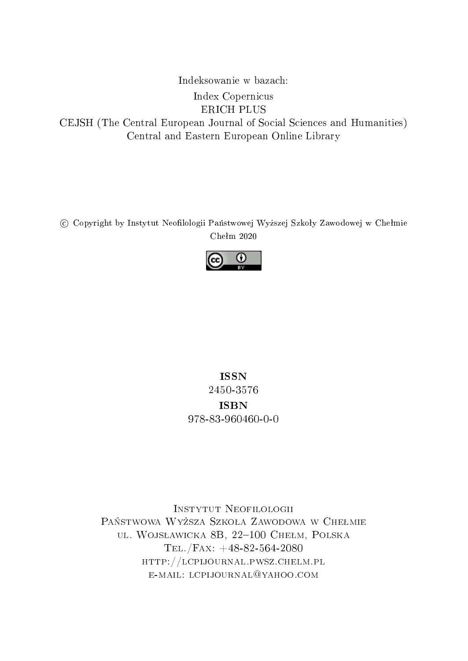Indeksowanie w bazach: Index Copernicus ERICH PLUS CEJSH (The Central European Journal of Social Sciences and Humanities) Central and Eastern European Online Library

C Copyright by Instytut Neofilologii Państwowej Wyższej Szkoły Zawodowej w Chełmie  $Chekm 2020$ 



### ISSN 2450-3576 ISBN 978-83-960460-0-0

Instytut Neofilologii PAŃSTWOWA WYŻSZA SZKOŁA ZAWODOWA W CHEŁMIE ul. Wojsławicka 8B, 22-100 Chełm, Polska Tel./Fax: +48-82-564-2080 http://lcpijournal.pwsz.chelm.pl e-mail: lcpijournal@yahoo.com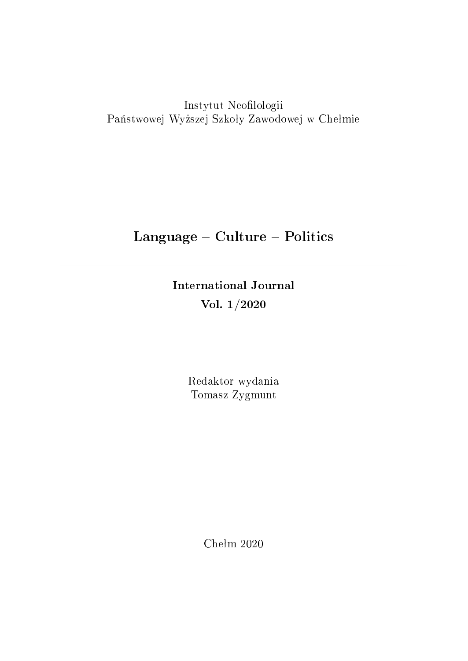Instytut Neofilologii Państwowej Wyższej Szkoły Zawodowej w Chełmie

## Language - Culture - Politics

International Journal Vol. 1/2020

> Redaktor wydania Tomasz Zygmunt

> > Chełm  $2020$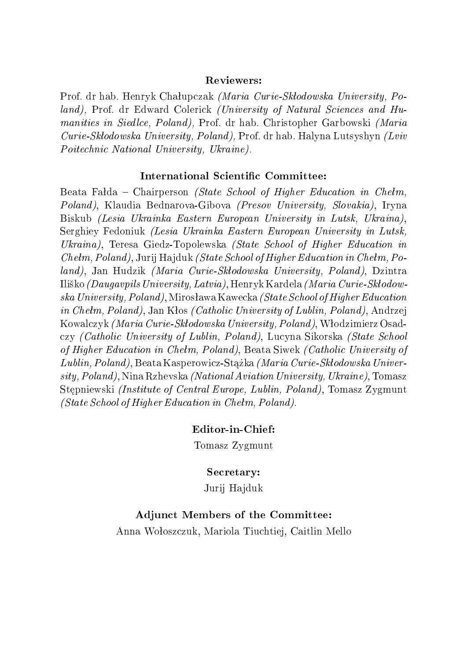#### Reviewers:

Prof. dr hab. Henryk Chałupczak *(Maria Curie-Skłodowska University, Po*land), Prof. dr Edward Colerick (University of Natural Sciences and Humanities in Siedlce, Poland), Prof. dr hab. Christopher Garbowski (Maria Curie-Skªodowska University, Poland), Prof. dr hab. Halyna Lutsyshyn (Lviv Poitechnic National University, Ukraine).

#### International Scientific Committee:

Beata Falda – Chairperson *(State School of Higher Education in Chełm*, Poland), Klaudia Bednarova-Gibova (Presov University, Slovakia), Iryna Biskub (Lesia Ukrainka Eastern European University in Lutsk, Ukraina), Serghiey Fedoniuk (Lesia Ukrainka Eastern European University in Lutsk, Ukraina), Teresa Giedz-Topolewska *(State School of Higher Education in*  $Chelm, Poland)$ , Jurij Hajduk *(State School of Higher Education in Chełm, Po*land), Jan Hudzik (Maria Curie-Skłodowska University, Poland), Dzintra Iliško *(Daugavpils University, Latvia)*, Henryk Kardela *(Maria Curie-Skłodow*ska University, Poland), Mirosława Kawecka *(State School of Higher Education* in Chełm, Poland), Jan Kłos *(Catholic University of Lublin, Poland)*, Andrzej Kowalczyk *(Maria Curie-Skłodowska University, Poland)*, Włodzimierz Osadczy (Catholic University of Lublin, Poland), Lucyna Sikorska (State School of Higher Education in Chełm, Poland), Beata Siwek (Catholic University of  $Lublin, Poland),$  Beata Kasperowicz-Stążka *(Maria Curie-Skłodowska Univer*sity, Poland), Nina Rzhevska (National Aviation University, Ukraine), Tomasz Stepniewski *(Institute of Central Europe, Lublin, Poland)*, Tomasz Zygmunt  $(State School of Higher Education in Chehm, Poland).$ 

#### Editor-in-Chief:

Tomasz Zygmunt

#### Secretary:

Jurij Hajduk

#### Adjunct Members of the Committee:

Anna Woªoszczuk, Mariola Tiuchtiej, Caitlin Mello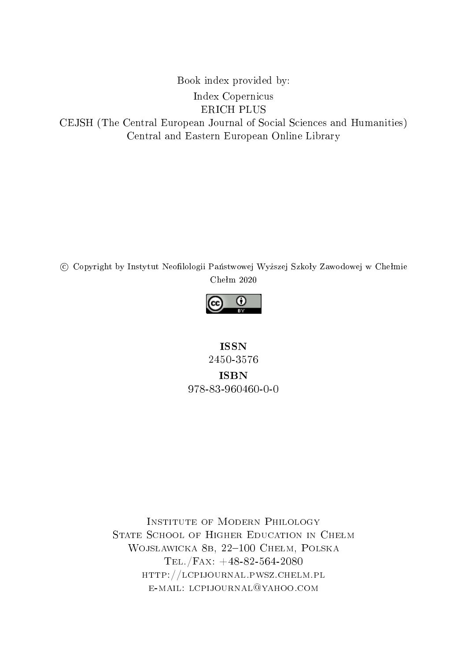Book index provided by: Index Copernicus ERICH PLUS CEJSH (The Central European Journal of Social Sciences and Humanities) Central and Eastern European Online Library

C Copyright by Instytut Neofilologii Państwowej Wyższej Szkoły Zawodowej w Chełmie  $Chekm 2020$ 



ISSN 2450-3576 ISBN 978-83-960460-0-0

Institute of Modern Philology STATE SCHOOL OF HIGHER EDUCATION IN CHEŁM WOJSŁAWICKA 8B, 22-100 CHEŁM, POLSKA Tel./Fax: +48-82-564-2080 http://lcpijournal.pwsz.chelm.pl e-mail: lcpijournal@yahoo.com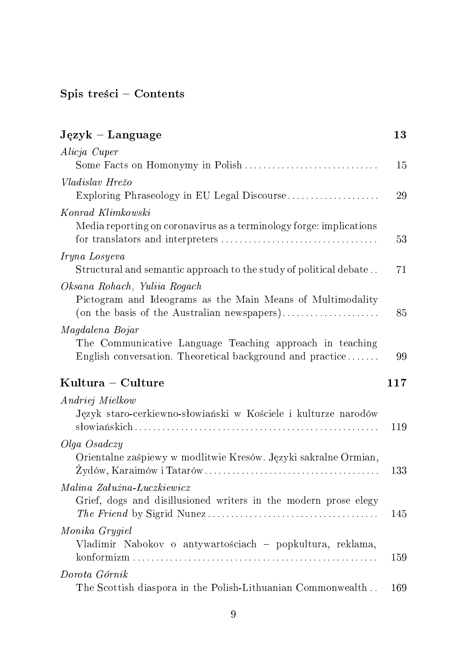## Spis treści – Contents

| $Jqzyk - Language$                                                                                                                        | 13  |
|-------------------------------------------------------------------------------------------------------------------------------------------|-----|
| Alicja Cuper                                                                                                                              |     |
|                                                                                                                                           | 15  |
| Vladislav Hrežo<br>Exploring Phraseology in EU Legal Discourse                                                                            | 29  |
| Konrad Klimkowski<br>Media reporting on coronavirus as a terminology forge: implications                                                  | 53  |
| Iryna Losyeva<br>Structural and semantic approach to the study of political debate                                                        | 71  |
| Oksana Rohach, Yuliia Rogach<br>Pictogram and Ideograms as the Main Means of Multimodality<br>(on the basis of the Australian newspapers) | 85  |
| Magdalena Bojar<br>The Communicative Language Teaching approach in teaching<br>English conversation. Theoretical background and practice  | 99  |
| Kultura – Culture                                                                                                                         | 117 |
| Andriej Mielkow<br>Język staro-cerkiewno-słowiański w Kościele i kulturze narodów                                                         | 119 |
| Olga Osadczy<br>Orientalne zaśpiewy w modlitwie Kresów. Języki sakralne Ormian,                                                           | 133 |
| Malina Załużna-Łuczkiewicz<br>Grief, dogs and disillusioned writers in the modern prose elegy                                             | 145 |
| Monika Grygiel<br>Vladimir Nabokov o antywartościach – popkultura, reklama,                                                               | 159 |
| Dorota Górnik<br>The Scottish diaspora in the Polish-Lithuanian Commonwealth                                                              | 169 |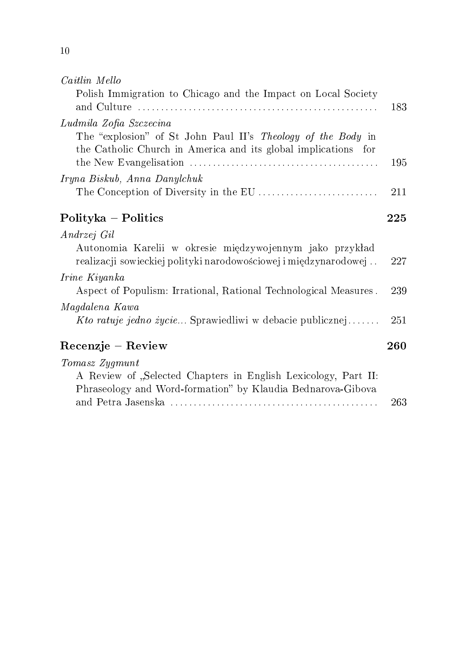| Caitlin Mello                                                                                                                  |     |
|--------------------------------------------------------------------------------------------------------------------------------|-----|
| Polish Immigration to Chicago and the Impact on Local Society                                                                  | 183 |
| Ludmila Zofia Szczecina                                                                                                        |     |
| The "explosion" of St John Paul II's Theology of the Body in<br>the Catholic Church in America and its global implications for | 195 |
| Iryna Biskub, Anna Danylchuk                                                                                                   |     |
|                                                                                                                                | 211 |
| Polityka – Politics                                                                                                            | 225 |
| Andrzej Gil                                                                                                                    |     |
| Autonomia Karelii w okresie międzywojennym jako przykład<br>realizacji sowieckiej polityki narodowościowej i międzynarodowej   | 227 |
| Irine Kiyanka                                                                                                                  |     |
| Aspect of Populism: Irrational, Rational Technological Measures.                                                               | 239 |
| Magdalena Kawa                                                                                                                 |     |
| Kto ratuje jedno życie Sprawiedliwi w debacie publicznej                                                                       | 251 |
| Recenzje – Review                                                                                                              | 260 |
| Tomasz Zygmunt                                                                                                                 |     |
| A Review of "Selected Chapters in English Lexicology, Part II:<br>Phraseology and Word-formation" by Klaudia Bednarova-Gibova  |     |
|                                                                                                                                | 263 |

10